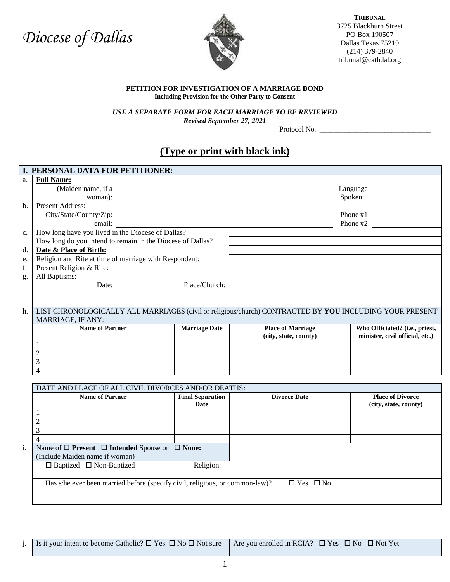# *Diocese of Dallas*



**TRIBUNAL** 3725 Blackburn Street PO Box 190507 Dallas Texas 75219 (214) 379-2840 tribunal@cathdal.org

#### **PETITION FOR INVESTIGATION OF A MARRIAGE BOND Including Provision for the Other Party to Consent**

*USE A SEPARATE FORM FOR EACH MARRIAGE TO BE REVIEWED*

*Revised September 27, 2021*

Protocol No. \_\_\_\_\_\_\_\_\_\_\_\_\_\_\_\_\_\_\_\_\_\_\_\_\_\_\_\_\_\_\_

## **(Type or print with black ink)**

|    | I. PERSONAL DATA FOR PETITIONER:                                                                        |                                                                                                                      |                          |                                                  |  |  |
|----|---------------------------------------------------------------------------------------------------------|----------------------------------------------------------------------------------------------------------------------|--------------------------|--------------------------------------------------|--|--|
| a. | <b>Full Name:</b>                                                                                       |                                                                                                                      |                          |                                                  |  |  |
|    | (Maiden name, if a                                                                                      |                                                                                                                      |                          | Language                                         |  |  |
|    | woman):                                                                                                 | <u> 1989 - Johann Barbara, martxa alemaniar amerikan basar da da a shekara 1980 - Andrew Santa Barbara, a shekar</u> |                          | Spoken:                                          |  |  |
| b. | <b>Present Address:</b>                                                                                 |                                                                                                                      |                          |                                                  |  |  |
|    |                                                                                                         |                                                                                                                      |                          |                                                  |  |  |
|    |                                                                                                         |                                                                                                                      |                          |                                                  |  |  |
| c. | How long have you lived in the Diocese of Dallas?                                                       |                                                                                                                      |                          |                                                  |  |  |
|    | How long do you intend to remain in the Diocese of Dallas?                                              |                                                                                                                      |                          |                                                  |  |  |
| d. | Date & Place of Birth:                                                                                  |                                                                                                                      |                          |                                                  |  |  |
| e. |                                                                                                         | Religion and Rite at time of marriage with Respondent:                                                               |                          |                                                  |  |  |
| f. | Present Religion & Rite:                                                                                |                                                                                                                      |                          |                                                  |  |  |
| g. | All Baptisms:                                                                                           |                                                                                                                      |                          |                                                  |  |  |
|    |                                                                                                         |                                                                                                                      |                          |                                                  |  |  |
|    |                                                                                                         |                                                                                                                      |                          |                                                  |  |  |
|    |                                                                                                         |                                                                                                                      |                          |                                                  |  |  |
| h. | LIST CHRONOLOGICALLY ALL MARRIAGES (civil or religious/church) CONTRACTED BY YOU INCLUDING YOUR PRESENT |                                                                                                                      |                          |                                                  |  |  |
|    | MARRIAGE, IF ANY:                                                                                       |                                                                                                                      |                          |                                                  |  |  |
|    | <b>Name of Partner</b>                                                                                  | <b>Marriage Date</b>                                                                                                 | <b>Place of Marriage</b> | Who Officiated? (i.e., priest,                   |  |  |
|    |                                                                                                         |                                                                                                                      | (city, state, county)    | minister, civil official, etc.)                  |  |  |
|    | $\mathbf{1}$                                                                                            |                                                                                                                      |                          |                                                  |  |  |
|    | $\overline{2}$                                                                                          |                                                                                                                      |                          |                                                  |  |  |
|    | $\overline{3}$                                                                                          |                                                                                                                      |                          |                                                  |  |  |
|    | $\overline{\mathcal{L}}$                                                                                |                                                                                                                      |                          |                                                  |  |  |
|    |                                                                                                         |                                                                                                                      |                          |                                                  |  |  |
|    | DATE AND PLACE OF ALL CIVIL DIVORCES AND/OR DEATHS:                                                     |                                                                                                                      |                          |                                                  |  |  |
|    | <b>Name of Partner</b>                                                                                  | <b>Final Separation</b><br>Date                                                                                      | <b>Divorce Date</b>      | <b>Place of Divorce</b><br>(city, state, county) |  |  |
|    | 1                                                                                                       |                                                                                                                      |                          |                                                  |  |  |
|    | $\overline{2}$                                                                                          |                                                                                                                      |                          |                                                  |  |  |
|    | $\overline{3}$                                                                                          |                                                                                                                      |                          |                                                  |  |  |
|    | $\overline{\mathcal{L}}$                                                                                |                                                                                                                      |                          |                                                  |  |  |
| i. | Name of $\square$ Present $\square$ Intended Spouse or $\square$ None:                                  |                                                                                                                      |                          |                                                  |  |  |
|    | (Include Maiden name if woman)                                                                          |                                                                                                                      |                          |                                                  |  |  |
|    | $\Box$ Baptized $\Box$ Non-Baptized                                                                     | Religion:                                                                                                            |                          |                                                  |  |  |
|    |                                                                                                         |                                                                                                                      |                          |                                                  |  |  |
|    | Has s/he ever been married before (specify civil, religious, or common-law)?<br>$\Box$ Yes $\Box$ No    |                                                                                                                      |                          |                                                  |  |  |
|    |                                                                                                         |                                                                                                                      |                          |                                                  |  |  |
|    |                                                                                                         |                                                                                                                      |                          |                                                  |  |  |
|    |                                                                                                         |                                                                                                                      |                          |                                                  |  |  |

j. Is it your intent to become Catholic?  $\Box$  Yes  $\Box$  No  $\Box$  Not sure Are you enrolled in RCIA?  $\Box$  Yes  $\Box$  No  $\Box$  Not Yet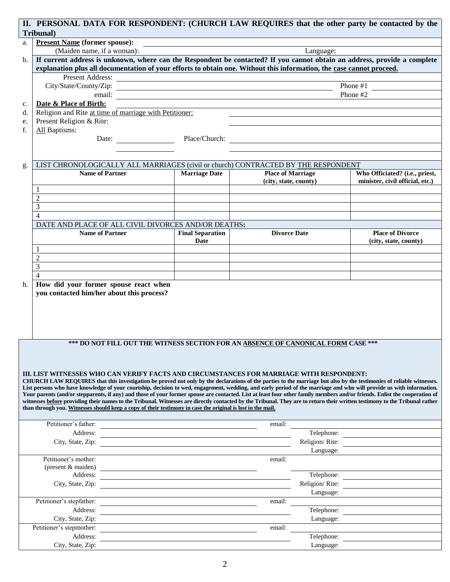|    | Tribunal)                                                                                                                                                                                                                      | II. PERSONAL DATA FOR RESPONDENT: (CHURCH LAW REQUIRES that the other party be contacted by the                                                                                                                                                                                                                                                           |                          |                                 |  |  |
|----|--------------------------------------------------------------------------------------------------------------------------------------------------------------------------------------------------------------------------------|-----------------------------------------------------------------------------------------------------------------------------------------------------------------------------------------------------------------------------------------------------------------------------------------------------------------------------------------------------------|--------------------------|---------------------------------|--|--|
| a. | <b>Present Name (former spouse):</b>                                                                                                                                                                                           |                                                                                                                                                                                                                                                                                                                                                           |                          |                                 |  |  |
|    | (Maiden name, if a woman):<br>Language:                                                                                                                                                                                        |                                                                                                                                                                                                                                                                                                                                                           |                          |                                 |  |  |
| b. | If current address is unknown, where can the Respondent be contacted? If you cannot obtain an address, provide a complete                                                                                                      |                                                                                                                                                                                                                                                                                                                                                           |                          |                                 |  |  |
|    | explanation plus all documentation of your efforts to obtain one. Without this information, the case cannot proceed.                                                                                                           |                                                                                                                                                                                                                                                                                                                                                           |                          |                                 |  |  |
|    | Present Address: New York Changes and Separate Separate Separate Separate Separate Separate Separate Separate Separate Separate Separate Separate Separate Separate Separate Separate Separate Separate Separate Separate Sepa |                                                                                                                                                                                                                                                                                                                                                           |                          |                                 |  |  |
|    | Phone #1                                                                                                                                                                                                                       |                                                                                                                                                                                                                                                                                                                                                           |                          |                                 |  |  |
|    |                                                                                                                                                                                                                                |                                                                                                                                                                                                                                                                                                                                                           |                          | Phone #2                        |  |  |
| c. | Date & Place of Birth:                                                                                                                                                                                                         |                                                                                                                                                                                                                                                                                                                                                           |                          |                                 |  |  |
| d. | Religion and Rite at time of marriage with Petitioner:                                                                                                                                                                         |                                                                                                                                                                                                                                                                                                                                                           |                          |                                 |  |  |
| e. | Present Religion & Rite:                                                                                                                                                                                                       |                                                                                                                                                                                                                                                                                                                                                           |                          |                                 |  |  |
| f. | All Baptisms:                                                                                                                                                                                                                  |                                                                                                                                                                                                                                                                                                                                                           |                          |                                 |  |  |
|    |                                                                                                                                                                                                                                | Date:                                                                                                                                                                                                                                                                                                                                                     |                          |                                 |  |  |
|    |                                                                                                                                                                                                                                |                                                                                                                                                                                                                                                                                                                                                           |                          |                                 |  |  |
|    |                                                                                                                                                                                                                                |                                                                                                                                                                                                                                                                                                                                                           |                          |                                 |  |  |
| g. |                                                                                                                                                                                                                                | LIST CHRONOLOGICALLY ALL MARRIAGES (civil or church) CONTRACTED BY THE RESPONDENT                                                                                                                                                                                                                                                                         |                          |                                 |  |  |
|    | <b>Name of Partner</b>                                                                                                                                                                                                         | <b>Marriage Date</b>                                                                                                                                                                                                                                                                                                                                      | <b>Place of Marriage</b> | Who Officiated? (i.e., priest,  |  |  |
|    |                                                                                                                                                                                                                                |                                                                                                                                                                                                                                                                                                                                                           | (city, state, county)    | minister, civil official, etc.) |  |  |
|    | 1                                                                                                                                                                                                                              |                                                                                                                                                                                                                                                                                                                                                           |                          |                                 |  |  |
|    | $\overline{2}$                                                                                                                                                                                                                 |                                                                                                                                                                                                                                                                                                                                                           |                          |                                 |  |  |
|    | 3                                                                                                                                                                                                                              |                                                                                                                                                                                                                                                                                                                                                           |                          |                                 |  |  |
|    | $\overline{4}$                                                                                                                                                                                                                 |                                                                                                                                                                                                                                                                                                                                                           |                          |                                 |  |  |
|    |                                                                                                                                                                                                                                | DATE AND PLACE OF ALL CIVIL DIVORCES AND/OR DEATHS:                                                                                                                                                                                                                                                                                                       |                          |                                 |  |  |
|    | <b>Name of Partner</b>                                                                                                                                                                                                         | <b>Final Separation</b>                                                                                                                                                                                                                                                                                                                                   | <b>Divorce Date</b>      | <b>Place of Divorce</b>         |  |  |
|    |                                                                                                                                                                                                                                | Date                                                                                                                                                                                                                                                                                                                                                      |                          | (city, state, county)           |  |  |
|    | 1                                                                                                                                                                                                                              |                                                                                                                                                                                                                                                                                                                                                           |                          |                                 |  |  |
|    | $\overline{2}$                                                                                                                                                                                                                 |                                                                                                                                                                                                                                                                                                                                                           |                          |                                 |  |  |
|    | 3                                                                                                                                                                                                                              |                                                                                                                                                                                                                                                                                                                                                           |                          |                                 |  |  |
|    | $\overline{4}$                                                                                                                                                                                                                 |                                                                                                                                                                                                                                                                                                                                                           |                          |                                 |  |  |
| h. | How did your former spouse react when                                                                                                                                                                                          |                                                                                                                                                                                                                                                                                                                                                           |                          |                                 |  |  |
|    | you contacted him/her about this process?                                                                                                                                                                                      |                                                                                                                                                                                                                                                                                                                                                           |                          |                                 |  |  |
|    |                                                                                                                                                                                                                                |                                                                                                                                                                                                                                                                                                                                                           |                          |                                 |  |  |
|    |                                                                                                                                                                                                                                |                                                                                                                                                                                                                                                                                                                                                           |                          |                                 |  |  |
|    |                                                                                                                                                                                                                                |                                                                                                                                                                                                                                                                                                                                                           |                          |                                 |  |  |
|    |                                                                                                                                                                                                                                |                                                                                                                                                                                                                                                                                                                                                           |                          |                                 |  |  |
|    |                                                                                                                                                                                                                                | *** DO NOT FILL OUT THE WITNESS SECTION FOR AN ABSENCE OF CANONICAL FORM CASE ***                                                                                                                                                                                                                                                                         |                          |                                 |  |  |
|    |                                                                                                                                                                                                                                |                                                                                                                                                                                                                                                                                                                                                           |                          |                                 |  |  |
|    |                                                                                                                                                                                                                                |                                                                                                                                                                                                                                                                                                                                                           |                          |                                 |  |  |
|    |                                                                                                                                                                                                                                |                                                                                                                                                                                                                                                                                                                                                           |                          |                                 |  |  |
|    |                                                                                                                                                                                                                                | III. LIST WITNESSES WHO CAN VERIFY FACTS AND CIRCUMSTANCES FOR MARRIAGE WITH RESPONDENT:                                                                                                                                                                                                                                                                  |                          |                                 |  |  |
|    |                                                                                                                                                                                                                                | CHURCH LAW REQUIRES that this investigation be proved not only by the declarations of the parties to the marriage but also by the testimonies of reliable witnesses.                                                                                                                                                                                      |                          |                                 |  |  |
|    |                                                                                                                                                                                                                                | List persons who have knowledge of your courtship, decision to wed, engagement, wedding, and early period of the marriage and who will provide us with information.                                                                                                                                                                                       |                          |                                 |  |  |
|    |                                                                                                                                                                                                                                | Your parents (and/or stepparents, if any) and those of your former spouse are contacted. List at least four other family members and/or friends. Enlist the cooperation of<br>witnesses before providing their names to the Tribunal. Witnesses are directly contacted by the Tribunal. They are to return their written testimony to the Tribunal rather |                          |                                 |  |  |
|    |                                                                                                                                                                                                                                | than through you. Witnesses should keep a copy of their testimony in case the original is lost in the mail.                                                                                                                                                                                                                                               |                          |                                 |  |  |
|    |                                                                                                                                                                                                                                |                                                                                                                                                                                                                                                                                                                                                           |                          |                                 |  |  |
|    | Petitioner's father:                                                                                                                                                                                                           |                                                                                                                                                                                                                                                                                                                                                           | email:                   |                                 |  |  |
|    | Address:                                                                                                                                                                                                                       |                                                                                                                                                                                                                                                                                                                                                           |                          | Telephone:                      |  |  |
|    |                                                                                                                                                                                                                                | City, State, Zip:                                                                                                                                                                                                                                                                                                                                         |                          | Religion/ Rite:                 |  |  |
|    |                                                                                                                                                                                                                                |                                                                                                                                                                                                                                                                                                                                                           | Language:                |                                 |  |  |
|    | Petitioner's mother:                                                                                                                                                                                                           |                                                                                                                                                                                                                                                                                                                                                           | email:                   |                                 |  |  |
|    | (present & maiden)                                                                                                                                                                                                             | <u> 1989 - Johann Stein, fransk politik (f. 1989)</u>                                                                                                                                                                                                                                                                                                     |                          |                                 |  |  |
|    | Address:                                                                                                                                                                                                                       |                                                                                                                                                                                                                                                                                                                                                           | Telephone:               |                                 |  |  |
|    | City, State, Zip:                                                                                                                                                                                                              |                                                                                                                                                                                                                                                                                                                                                           | Religion/Rite:           |                                 |  |  |
|    |                                                                                                                                                                                                                                |                                                                                                                                                                                                                                                                                                                                                           | Language:                |                                 |  |  |
|    | Petitioner's stepfather:                                                                                                                                                                                                       |                                                                                                                                                                                                                                                                                                                                                           | email:                   |                                 |  |  |
|    | Address:                                                                                                                                                                                                                       |                                                                                                                                                                                                                                                                                                                                                           | Telephone:               |                                 |  |  |
|    | City, State, Zip:                                                                                                                                                                                                              |                                                                                                                                                                                                                                                                                                                                                           | Language:                |                                 |  |  |
|    | Petitioner's stepmother:                                                                                                                                                                                                       |                                                                                                                                                                                                                                                                                                                                                           | email:                   |                                 |  |  |
|    | Address:                                                                                                                                                                                                                       |                                                                                                                                                                                                                                                                                                                                                           | Telephone:               |                                 |  |  |
|    | City, State, Zip:                                                                                                                                                                                                              |                                                                                                                                                                                                                                                                                                                                                           | Language:                |                                 |  |  |
|    |                                                                                                                                                                                                                                |                                                                                                                                                                                                                                                                                                                                                           |                          |                                 |  |  |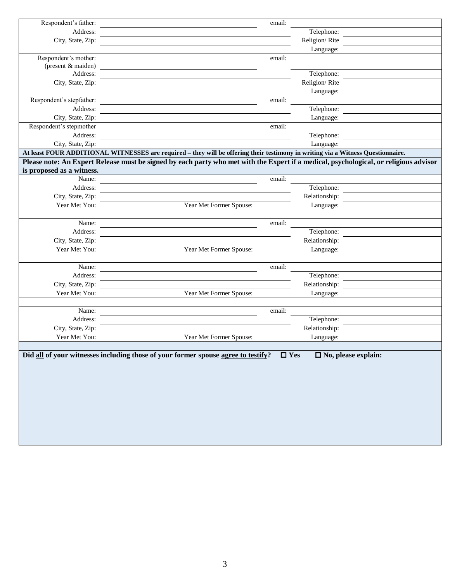| Respondent's father:      | email:                                                                                                                                |
|---------------------------|---------------------------------------------------------------------------------------------------------------------------------------|
| Address:                  | Telephone:                                                                                                                            |
| City, State, Zip:         | Religion/Rite                                                                                                                         |
|                           | Language:                                                                                                                             |
| Respondent's mother:      | email:                                                                                                                                |
| (present & maiden)        |                                                                                                                                       |
| Address:                  | Telephone:                                                                                                                            |
| City, State, Zip:         | Religion/Rite                                                                                                                         |
|                           | Language:                                                                                                                             |
| Respondent's stepfather:  | email:                                                                                                                                |
| Address:                  | Telephone:                                                                                                                            |
| City, State, Zip:         | Language:                                                                                                                             |
| Respondent's stepmother   | email:                                                                                                                                |
| Address:                  | Telephone:                                                                                                                            |
| City, State, Zip:         | Language:                                                                                                                             |
|                           | At least FOUR ADDITIONAL WITNESSES are required – they will be offering their testimony in writing via a Witness Questionnaire.       |
|                           | Please note: An Expert Release must be signed by each party who met with the Expert if a medical, psychological, or religious advisor |
| is proposed as a witness. |                                                                                                                                       |
| Name:                     | email:                                                                                                                                |
| Address:                  | Telephone:                                                                                                                            |
| City, State, Zip:         | Relationship:                                                                                                                         |
| Year Met You:             | Year Met Former Spouse:<br>Language:                                                                                                  |
|                           |                                                                                                                                       |
| Name:                     | email:                                                                                                                                |
| Address:                  | Telephone:                                                                                                                            |
| City, State, Zip:         | Relationship:                                                                                                                         |
| Year Met You:             | Year Met Former Spouse:<br>Language:                                                                                                  |
|                           |                                                                                                                                       |
| Name:                     | email:                                                                                                                                |
| Address:                  | Telephone:                                                                                                                            |
| City, State, Zip:         | Relationship:                                                                                                                         |
| Year Met You:             | Year Met Former Spouse:<br>Language:                                                                                                  |
|                           |                                                                                                                                       |
| Name:                     | email:                                                                                                                                |
| Address:                  | Telephone:                                                                                                                            |
| City, State, Zip:         | Relationship:                                                                                                                         |
| Year Met You:             | Year Met Former Spouse:<br>Language:                                                                                                  |
|                           |                                                                                                                                       |
|                           | Did all of your witnesses including those of your former spouse agree to testify?<br>$\square$ Yes<br>$\Box$ No, please explain:      |
|                           |                                                                                                                                       |
|                           |                                                                                                                                       |
|                           |                                                                                                                                       |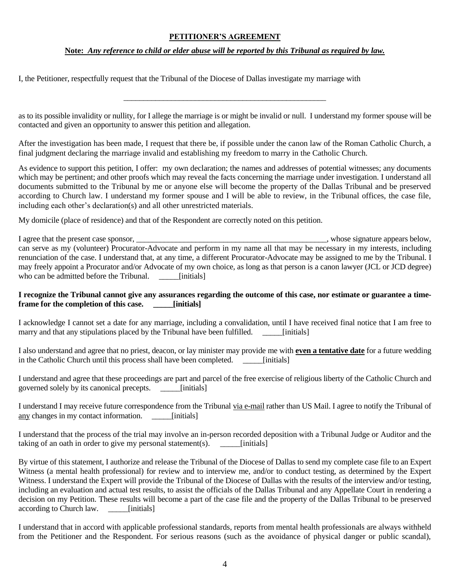#### **PETITIONER'S AGREEMENT**

#### **Note:** *Any reference to child or elder abuse will be reported by this Tribunal as required by law.*

I, the Petitioner, respectfully request that the Tribunal of the Diocese of Dallas investigate my marriage with

as to its possible invalidity or nullity, for I allege the marriage is or might be invalid or null. I understand my former spouse will be contacted and given an opportunity to answer this petition and allegation.

\_\_\_\_\_\_\_\_\_\_\_\_\_\_\_\_\_\_\_\_\_\_\_\_\_\_\_\_\_\_\_\_\_\_\_\_\_\_\_\_\_\_\_\_\_\_\_\_\_\_\_

After the investigation has been made, I request that there be, if possible under the canon law of the Roman Catholic Church, a final judgment declaring the marriage invalid and establishing my freedom to marry in the Catholic Church.

As evidence to support this petition, I offer: my own declaration; the names and addresses of potential witnesses; any documents which may be pertinent; and other proofs which may reveal the facts concerning the marriage under investigation. I understand all documents submitted to the Tribunal by me or anyone else will become the property of the Dallas Tribunal and be preserved according to Church law. I understand my former spouse and I will be able to review, in the Tribunal offices, the case file, including each other's declaration(s) and all other unrestricted materials.

My domicile (place of residence) and that of the Respondent are correctly noted on this petition.

I agree that the present case sponsor, \_\_\_\_\_\_\_\_\_\_\_\_\_\_\_\_\_\_\_\_\_\_\_\_\_\_\_\_\_\_\_\_\_\_\_\_\_\_\_\_\_\_\_\_\_\_\_\_, whose signature appears below, can serve as my (volunteer) Procurator-Advocate and perform in my name all that may be necessary in my interests, including renunciation of the case. I understand that, at any time, a different Procurator-Advocate may be assigned to me by the Tribunal. I may freely appoint a Procurator and/or Advocate of my own choice, as long as that person is a canon lawyer (JCL or JCD degree) who can be admitted before the Tribunal. [initials]

#### **I recognize the Tribunal cannot give any assurances regarding the outcome of this case, nor estimate or guarantee a timeframe for the completion of this case. \_\_\_\_\_[initials]**

I acknowledge I cannot set a date for any marriage, including a convalidation, until I have received final notice that I am free to marry and that any stipulations placed by the Tribunal have been fulfilled. [initials]

I also understand and agree that no priest, deacon, or lay minister may provide me with **even a tentative date** for a future wedding in the Catholic Church until this process shall have been completed. \_\_\_\_\_[initials]

I understand and agree that these proceedings are part and parcel of the free exercise of religious liberty of the Catholic Church and governed solely by its canonical precepts. [initials]

I understand I may receive future correspondence from the Tribunal via e-mail rather than US Mail. I agree to notify the Tribunal of any changes in my contact information. \_\_\_\_\_[initials]

I understand that the process of the trial may involve an in-person recorded deposition with a Tribunal Judge or Auditor and the taking of an oath in order to give my personal statement(s). \_\_\_\_\_[initials]

By virtue of this statement, I authorize and release the Tribunal of the Diocese of Dallas to send my complete case file to an Expert Witness (a mental health professional) for review and to interview me, and/or to conduct testing, as determined by the Expert Witness. I understand the Expert will provide the Tribunal of the Diocese of Dallas with the results of the interview and/or testing, including an evaluation and actual test results, to assist the officials of the Dallas Tribunal and any Appellate Court in rendering a decision on my Petition. These results will become a part of the case file and the property of the Dallas Tribunal to be preserved according to Church law. \_\_\_\_\_[initials]

I understand that in accord with applicable professional standards, reports from mental health professionals are always withheld from the Petitioner and the Respondent. For serious reasons (such as the avoidance of physical danger or public scandal),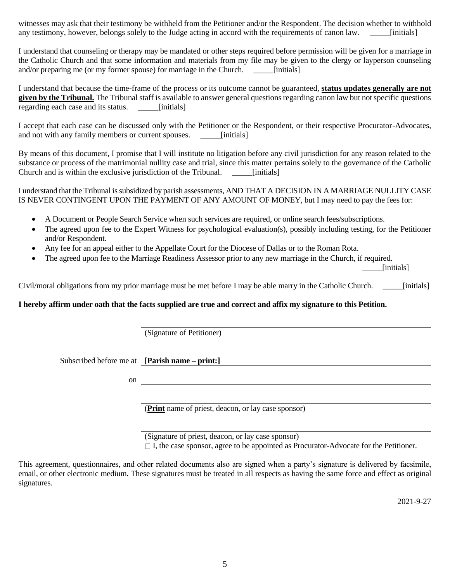witnesses may ask that their testimony be withheld from the Petitioner and/or the Respondent. The decision whether to withhold any testimony, however, belongs solely to the Judge acting in accord with the requirements of canon law. [initials]

I understand that counseling or therapy may be mandated or other steps required before permission will be given for a marriage in the Catholic Church and that some information and materials from my file may be given to the clergy or layperson counseling and/or preparing me (or my former spouse) for marriage in the Church. \_\_\_\_\_\_\_\_[initials]

I understand that because the time-frame of the process or its outcome cannot be guaranteed, **status updates generally are not given by the Tribunal.** The Tribunal staff is available to answer general questions regarding canon law but not specific questions regarding each case and its status. [initials]

I accept that each case can be discussed only with the Petitioner or the Respondent, or their respective Procurator-Advocates, and not with any family members or current spouses. \_\_\_\_\_\_\_\_[initials]

By means of this document, I promise that I will institute no litigation before any civil jurisdiction for any reason related to the substance or process of the matrimonial nullity case and trial, since this matter pertains solely to the governance of the Catholic Church and is within the exclusive jurisdiction of the Tribunal. [initials]

I understand that the Tribunal is subsidized by parish assessments, AND THAT A DECISION IN A MARRIAGE NULLITY CASE IS NEVER CONTINGENT UPON THE PAYMENT OF ANY AMOUNT OF MONEY, but I may need to pay the fees for:

- A Document or People Search Service when such services are required, or online search fees/subscriptions.
- The agreed upon fee to the Expert Witness for psychological evaluation(s), possibly including testing, for the Petitioner and/or Respondent.
- Any fee for an appeal either to the Appellate Court for the Diocese of Dallas or to the Roman Rota.
- The agreed upon fee to the Marriage Readiness Assessor prior to any new marriage in the Church, if required.

[initials]

Civil/moral obligations from my prior marriage must be met before I may be able marry in the Catholic Church. \_\_\_\_\_[initials]

#### **I hereby affirm under oath that the facts supplied are true and correct and affix my signature to this Petition.**

(Signature of Petitioner)

Subscribed before me at **[Parish name – print:]**

on

(**Print** name of priest, deacon, or lay case sponsor)

(Signature of priest, deacon, or lay case sponsor)  $\Box$  I, the case sponsor, agree to be appointed as Procurator-Advocate for the Petitioner.

This agreement, questionnaires, and other related documents also are signed when a party's signature is delivered by facsimile, email, or other electronic medium. These signatures must be treated in all respects as having the same force and effect as original signatures.

2021-9-27